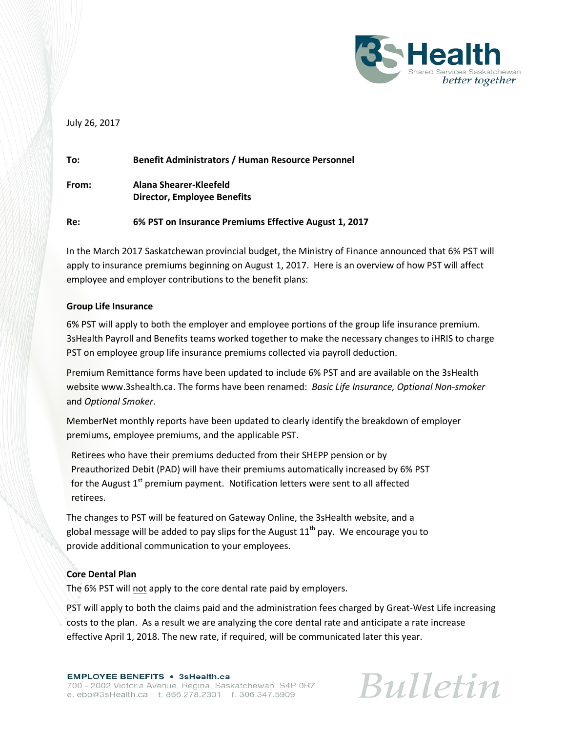

July 26, 2017

| To:   | <b>Benefit Administrators / Human Resource Personnel</b>     |
|-------|--------------------------------------------------------------|
| From: | Alana Shearer-Kleefeld<br><b>Director, Employee Benefits</b> |
| Re:   | 6% PST on Insurance Premiums Effective August 1, 2017        |

In the March 2017 Saskatchewan provincial budget, the Ministry of Finance announced that 6% PST will apply to insurance premiums beginning on August 1, 2017. Here is an overview of how PST will affect employee and employer contributions to the benefit plans:

## **Group Life Insurance**

6% PST will apply to both the employer and employee portions of the group life insurance premium. 3sHealth Payroll and Benefits teams worked together to make the necessary changes to iHRIS to charge PST on employee group life insurance premiums collected via payroll deduction.

Premium Remittance forms have been updated to include 6% PST and are available on the 3sHealth website www.3shealth.ca. The forms have been renamed: *Basic Life Insurance, Optional Non-smoker* and *Optional Smoker*.

MemberNet monthly reports have been updated to clearly identify the breakdown of employer premiums, employee premiums, and the applicable PST.

Retirees who have their premiums deducted from their SHEPP pension or by Preauthorized Debit (PAD) will have their premiums automatically increased by 6% PST for the August  $1<sup>st</sup>$  premium payment. Notification letters were sent to all affected retirees.

The changes to PST will be featured on Gateway Online, the 3sHealth website, and a global message will be added to pay slips for the August  $11<sup>th</sup>$  pay. We encourage you to provide additional communication to your employees.

## **Core Dental Plan**

The 6% PST will not apply to the core dental rate paid by employers.

PST will apply to both the claims paid and the administration fees charged by Great-West Life increasing costs to the plan. As a result we are analyzing the core dental rate and anticipate a rate increase effective April 1, 2018. The new rate, if required, will be communicated later this year.

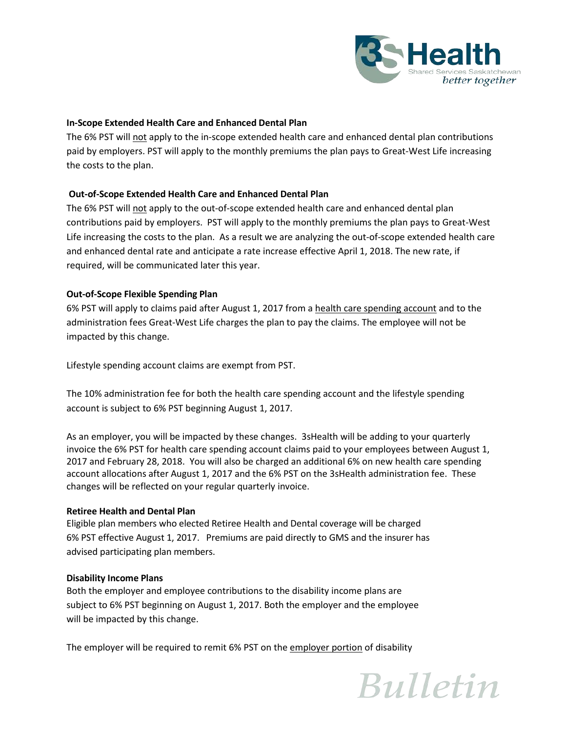

## **In-Scope Extended Health Care and Enhanced Dental Plan**

The 6% PST will not apply to the in-scope extended health care and enhanced dental plan contributions paid by employers. PST will apply to the monthly premiums the plan pays to Great-West Life increasing the costs to the plan.

## **Out-of-Scope Extended Health Care and Enhanced Dental Plan**

The 6% PST will not apply to the out-of-scope extended health care and enhanced dental plan contributions paid by employers.PST will apply to the monthly premiums the plan pays to Great-West Life increasing the costs to the plan. As a result we are analyzing the out-of-scope extended health care and enhanced dental rate and anticipate a rate increase effective April 1, 2018. The new rate, if required, will be communicated later this year.

## **Out-of-Scope Flexible Spending Plan**

6% PST will apply to claims paid after August 1, 2017 from a health care spending account and to the administration fees Great-West Life charges the plan to pay the claims. The employee will not be impacted by this change.

Lifestyle spending account claims are exempt from PST.

The 10% administration fee for both the health care spending account and the lifestyle spending account is subject to 6% PST beginning August 1, 2017.

As an employer, you will be impacted by these changes. 3sHealth will be adding to your quarterly invoice the 6% PST for health care spending account claims paid to your employees between August 1, 2017 and February 28, 2018. You will also be charged an additional 6% on new health care spending account allocations after August 1, 2017 and the 6% PST on the 3sHealth administration fee. These changes will be reflected on your regular quarterly invoice.

#### **Retiree Health and Dental Plan**

Eligible plan members who elected Retiree Health and Dental coverage will be charged 6% PST effective August 1, 2017. Premiums are paid directly to GMS and the insurer has advised participating plan members.

#### **Disability Income Plans**

Both the employer and employee contributions to the disability income plans are subject to 6% PST beginning on August 1, 2017. Both the employer and the employee will be impacted by this change.

The employer will be required to remit 6% PST on the employer portion of disability